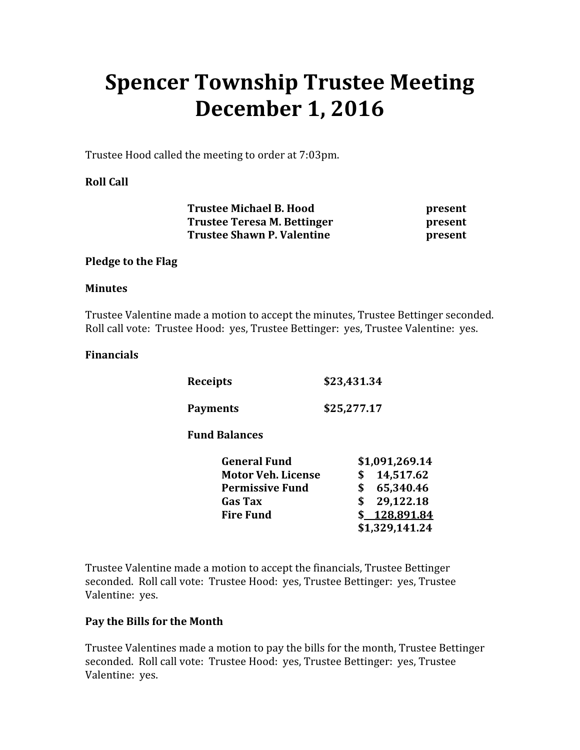# Spencer Township Trustee Meeting December 1, 2016

Trustee Hood called the meeting to order at 7:03pm.

## Roll Call

Trustee Michael B. Hood present Trustee Teresa M. Bettinger **present** Trustee Shawn P. Valentine **present** 

#### Pledge to the Flag

#### **Minutes**

Trustee Valentine made a motion to accept the minutes, Trustee Bettinger seconded. Roll call vote: Trustee Hood: yes, Trustee Bettinger: yes, Trustee Valentine: yes.

#### Financials

| Receipts        | \$23,431.34 |
|-----------------|-------------|
| <b>Payments</b> | \$25,277.17 |

Fund Balances

| <b>General Fund</b>       |  | \$1,091,269.14 |  |
|---------------------------|--|----------------|--|
| <b>Motor Veh. License</b> |  | \$14,517.62    |  |
| <b>Permissive Fund</b>    |  | \$65,340.46    |  |
| <b>Gas Tax</b>            |  | \$29,122.18    |  |
| <b>Fire Fund</b>          |  | \$128,891.84   |  |
|                           |  | \$1,329,141.24 |  |

Trustee Valentine made a motion to accept the financials, Trustee Bettinger seconded. Roll call vote: Trustee Hood: yes, Trustee Bettinger: yes, Trustee Valentine: yes.

#### Pay the Bills for the Month

Trustee Valentines made a motion to pay the bills for the month, Trustee Bettinger seconded. Roll call vote: Trustee Hood: yes, Trustee Bettinger: yes, Trustee Valentine: yes.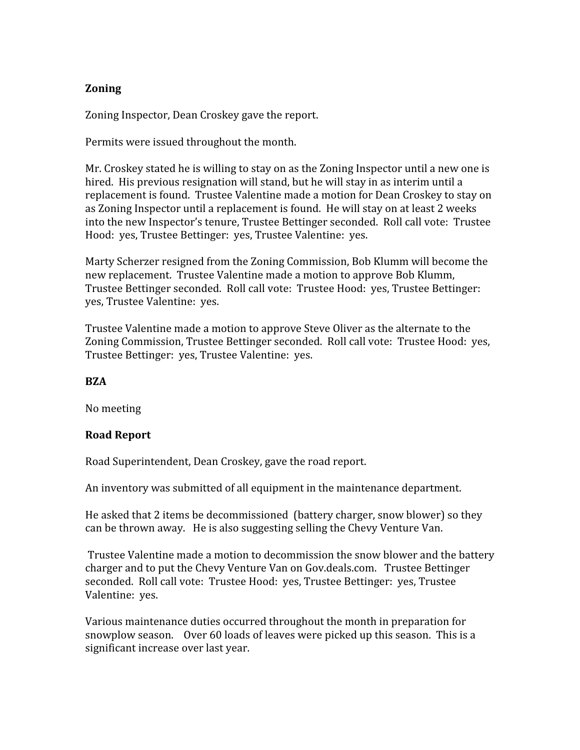# Zoning

Zoning Inspector, Dean Croskey gave the report.

Permits were issued throughout the month.

Mr. Croskey stated he is willing to stay on as the Zoning Inspector until a new one is hired. His previous resignation will stand, but he will stay in as interim until a replacement is found. Trustee Valentine made a motion for Dean Croskey to stay on as Zoning Inspector until a replacement is found. He will stay on at least 2 weeks into the new Inspector's tenure, Trustee Bettinger seconded. Roll call vote: Trustee Hood: yes, Trustee Bettinger: yes, Trustee Valentine: yes.

Marty Scherzer resigned from the Zoning Commission, Bob Klumm will become the new replacement. Trustee Valentine made a motion to approve Bob Klumm, Trustee Bettinger seconded. Roll call vote: Trustee Hood: yes, Trustee Bettinger: yes, Trustee Valentine: yes.

Trustee Valentine made a motion to approve Steve Oliver as the alternate to the Zoning Commission, Trustee Bettinger seconded. Roll call vote: Trustee Hood: yes, Trustee Bettinger: yes, Trustee Valentine: yes.

#### **BZA**

No meeting

# Road Report

Road Superintendent, Dean Croskey, gave the road report.

An inventory was submitted of all equipment in the maintenance department.

He asked that 2 items be decommissioned (battery charger, snow blower) so they can be thrown away. He is also suggesting selling the Chevy Venture Van.

 Trustee Valentine made a motion to decommission the snow blower and the battery charger and to put the Chevy Venture Van on Gov.deals.com. Trustee Bettinger seconded. Roll call vote: Trustee Hood: yes, Trustee Bettinger: yes, Trustee Valentine: yes.

Various maintenance duties occurred throughout the month in preparation for snowplow season. Over 60 loads of leaves were picked up this season. This is a significant increase over last year.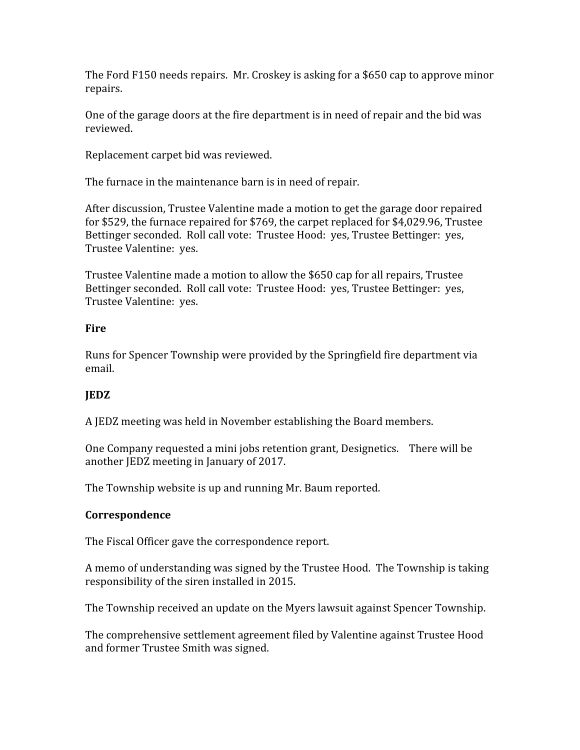The Ford F150 needs repairs. Mr. Croskey is asking for a \$650 cap to approve minor repairs.

One of the garage doors at the fire department is in need of repair and the bid was reviewed.

Replacement carpet bid was reviewed.

The furnace in the maintenance barn is in need of repair.

After discussion, Trustee Valentine made a motion to get the garage door repaired for \$529, the furnace repaired for \$769, the carpet replaced for \$4,029.96, Trustee Bettinger seconded. Roll call vote: Trustee Hood: yes, Trustee Bettinger: yes, Trustee Valentine: yes.

Trustee Valentine made a motion to allow the \$650 cap for all repairs, Trustee Bettinger seconded. Roll call vote: Trustee Hood: yes, Trustee Bettinger: yes, Trustee Valentine: yes.

# **Fire**

Runs for Spencer Township were provided by the Springfield fire department via email.

# JEDZ

A JEDZ meeting was held in November establishing the Board members.

One Company requested a mini jobs retention grant, Designetics. There will be another JEDZ meeting in January of 2017.

The Township website is up and running Mr. Baum reported.

# Correspondence

The Fiscal Officer gave the correspondence report.

A memo of understanding was signed by the Trustee Hood. The Township is taking responsibility of the siren installed in 2015.

The Township received an update on the Myers lawsuit against Spencer Township.

The comprehensive settlement agreement filed by Valentine against Trustee Hood and former Trustee Smith was signed.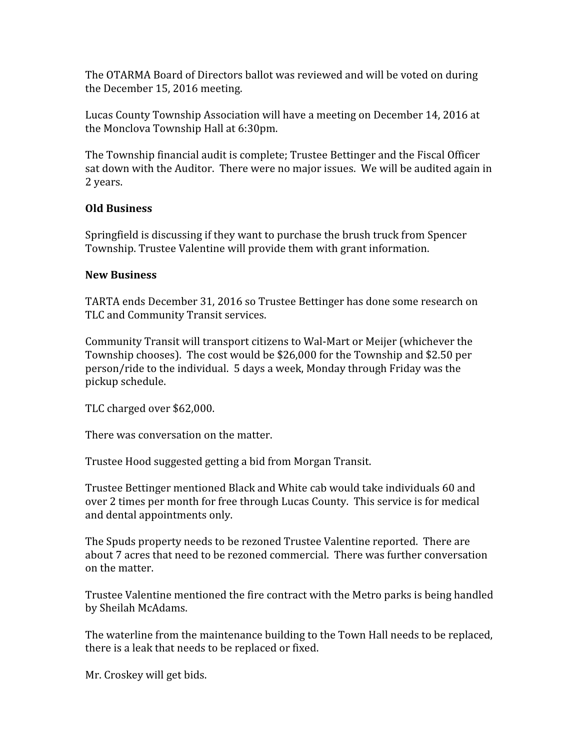The OTARMA Board of Directors ballot was reviewed and will be voted on during the December 15, 2016 meeting.

Lucas County Township Association will have a meeting on December 14, 2016 at the Monclova Township Hall at 6:30pm.

The Township financial audit is complete; Trustee Bettinger and the Fiscal Officer sat down with the Auditor. There were no major issues. We will be audited again in 2 years.

## Old Business

Springfield is discussing if they want to purchase the brush truck from Spencer Township. Trustee Valentine will provide them with grant information.

## New Business

TARTA ends December 31, 2016 so Trustee Bettinger has done some research on TLC and Community Transit services.

Community Transit will transport citizens to Wal-Mart or Meijer (whichever the Township chooses). The cost would be \$26,000 for the Township and \$2.50 per person/ride to the individual. 5 days a week, Monday through Friday was the pickup schedule.

TLC charged over \$62,000.

There was conversation on the matter.

Trustee Hood suggested getting a bid from Morgan Transit.

Trustee Bettinger mentioned Black and White cab would take individuals 60 and over 2 times per month for free through Lucas County. This service is for medical and dental appointments only.

The Spuds property needs to be rezoned Trustee Valentine reported. There are about 7 acres that need to be rezoned commercial. There was further conversation on the matter.

Trustee Valentine mentioned the fire contract with the Metro parks is being handled by Sheilah McAdams.

The waterline from the maintenance building to the Town Hall needs to be replaced, there is a leak that needs to be replaced or fixed.

Mr. Croskey will get bids.